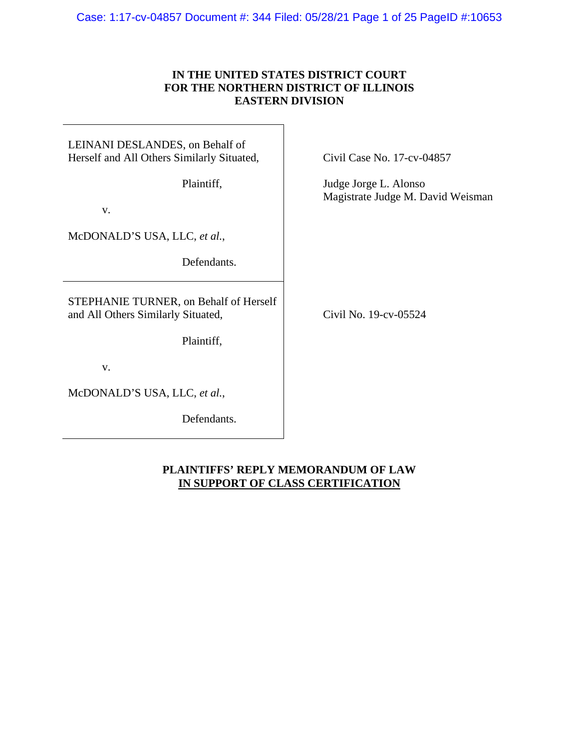#### Case: 1:17-cv-04857 Document #: 344 Filed: 05/28/21 Page 1 of 25 PageID #:10653

## **IN THE UNITED STATES DISTRICT COURT FOR THE NORTHERN DISTRICT OF ILLINOIS EASTERN DIVISION**

## LEINANI DESLANDES, on Behalf of Herself and All Others Similarly Situated,

Plaintiff,

v.

McDONALD'S USA, LLC, *et al.*,

Defendants.

STEPHANIE TURNER, on Behalf of Herself and All Others Similarly Situated,

Plaintiff,

v.

McDONALD'S USA, LLC, *et al.*,

Defendants.

Civil Case No. 17-cv-04857

Judge Jorge L. Alonso Magistrate Judge M. David Weisman

Civil No. 19-cv-05524

## **PLAINTIFFS' REPLY MEMORANDUM OF LAW IN SUPPORT OF CLASS CERTIFICATION**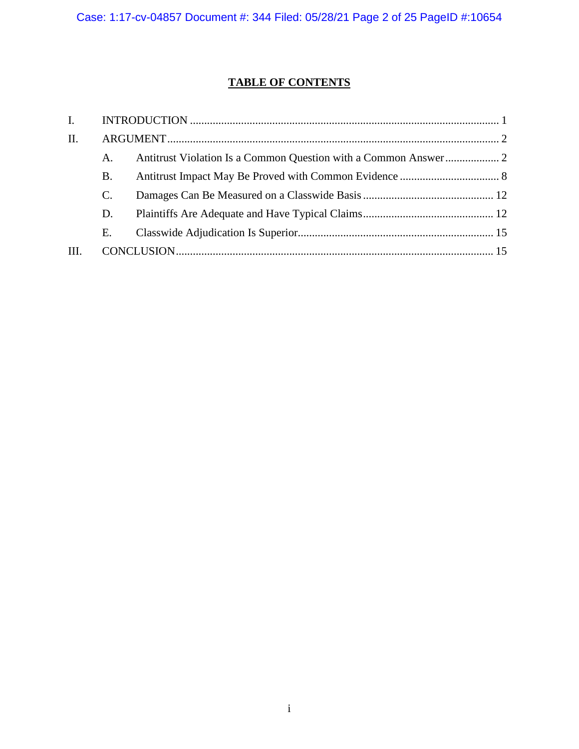# **TABLE OF CONTENTS**

| II. |    |  |
|-----|----|--|
|     | A. |  |
|     | B. |  |
|     | C. |  |
|     | D. |  |
|     | Е. |  |
| Ш.  |    |  |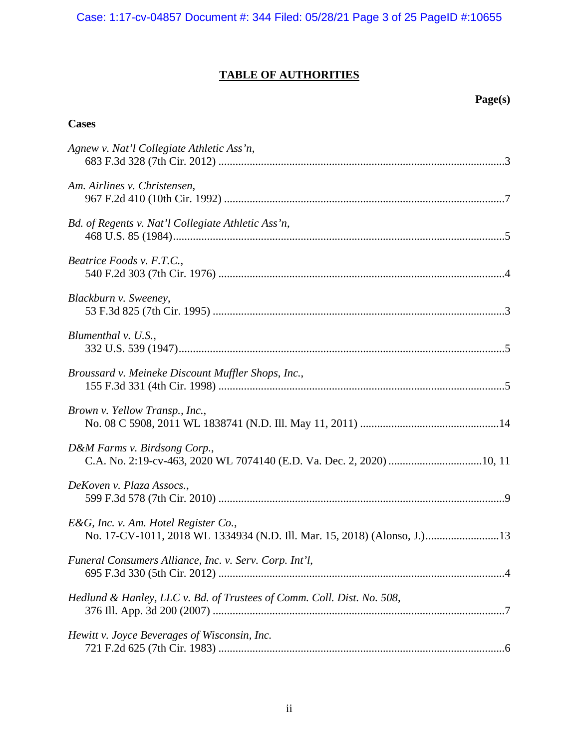# **TABLE OF AUTHORITIES**

# **Page(s)**

## **Cases**

| Agnew v. Nat'l Collegiate Athletic Ass'n,                                                                        |
|------------------------------------------------------------------------------------------------------------------|
| Am. Airlines v. Christensen,                                                                                     |
| Bd. of Regents v. Nat'l Collegiate Athletic Ass'n,                                                               |
| Beatrice Foods v. F.T.C.,                                                                                        |
| Blackburn v. Sweeney,                                                                                            |
| Blumenthal $v.$ U.S.,                                                                                            |
| Broussard v. Meineke Discount Muffler Shops, Inc.,                                                               |
| Brown v. Yellow Transp., Inc.,                                                                                   |
| D&M Farms v. Birdsong Corp.,                                                                                     |
| DeKoven v. Plaza Assocs.,                                                                                        |
| E&G, Inc. v. Am. Hotel Register Co.,<br>No. 17-CV-1011, 2018 WL 1334934 (N.D. Ill. Mar. 15, 2018) (Alonso, J.)13 |
| Funeral Consumers Alliance, Inc. v. Serv. Corp. Int'l,                                                           |
| Hedlund & Hanley, LLC v. Bd. of Trustees of Comm. Coll. Dist. No. 508,                                           |
| Hewitt v. Joyce Beverages of Wisconsin, Inc.                                                                     |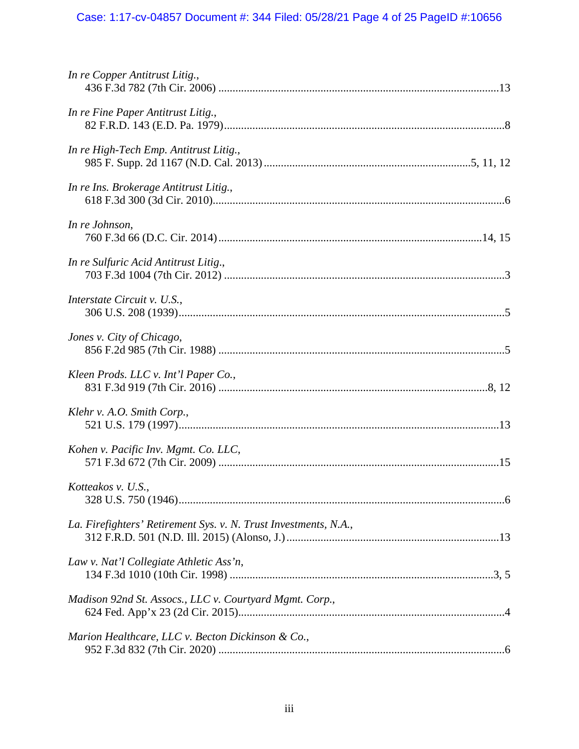# Case: 1:17-cv-04857 Document #: 344 Filed: 05/28/21 Page 4 of 25 PageID #:10656

| In re Copper Antitrust Litig.,                                   |
|------------------------------------------------------------------|
| In re Fine Paper Antitrust Litig.,                               |
| In re High-Tech Emp. Antitrust Litig.,                           |
| In re Ins. Brokerage Antitrust Litig.,                           |
| In re Johnson,                                                   |
| In re Sulfuric Acid Antitrust Litig.,                            |
| Interstate Circuit v. U.S.,                                      |
| Jones v. City of Chicago,                                        |
| Kleen Prods. LLC v. Int'l Paper Co.,                             |
| Klehr v. A.O. Smith Corp.,                                       |
| Kohen v. Pacific Inv. Mgmt. Co. LLC,                             |
| Kotteakos v. U.S.,                                               |
| La. Firefighters' Retirement Sys. v. N. Trust Investments, N.A., |
| Law v. Nat'l Collegiate Athletic Ass'n,                          |
| Madison 92nd St. Assocs., LLC v. Courtyard Mgmt. Corp.,          |
| Marion Healthcare, LLC v. Becton Dickinson & Co.,                |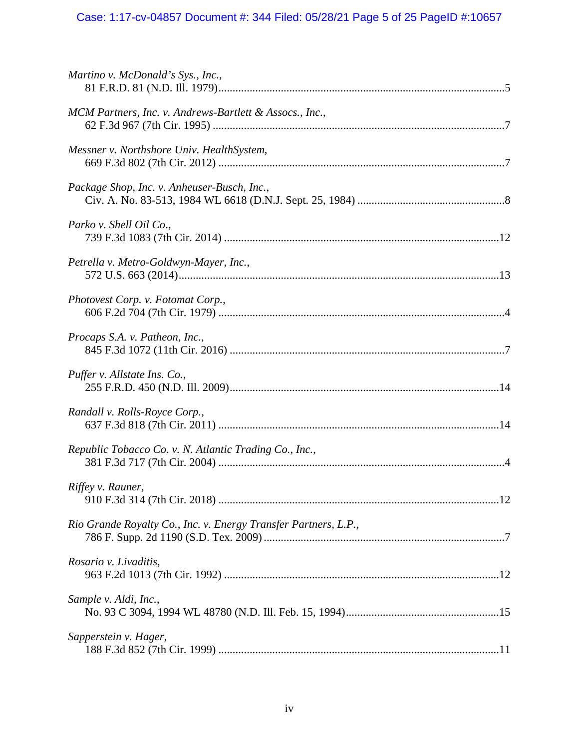# Case: 1:17-cv-04857 Document #: 344 Filed: 05/28/21 Page 5 of 25 PageID #:10657

| Martino v. McDonald's Sys., Inc.,                               |
|-----------------------------------------------------------------|
| MCM Partners, Inc. v. Andrews-Bartlett & Assocs., Inc.,         |
| Messner v. Northshore Univ. HealthSystem,                       |
| Package Shop, Inc. v. Anheuser-Busch, Inc.,                     |
| Parko v. Shell Oil Co.,                                         |
| Petrella v. Metro-Goldwyn-Mayer, Inc.,                          |
| Photovest Corp. v. Fotomat Corp.,                               |
| Procaps S.A. v. Patheon, Inc.,                                  |
| Puffer v. Allstate Ins. Co.,                                    |
| Randall v. Rolls-Royce Corp.,                                   |
| Republic Tobacco Co. v. N. Atlantic Trading Co., Inc.,          |
| Riffey v. Rauner,                                               |
| Rio Grande Royalty Co., Inc. v. Energy Transfer Partners, L.P., |
| Rosario v. Livaditis,                                           |
| Sample v. Aldi, Inc.,                                           |
| Sapperstein v. Hager,                                           |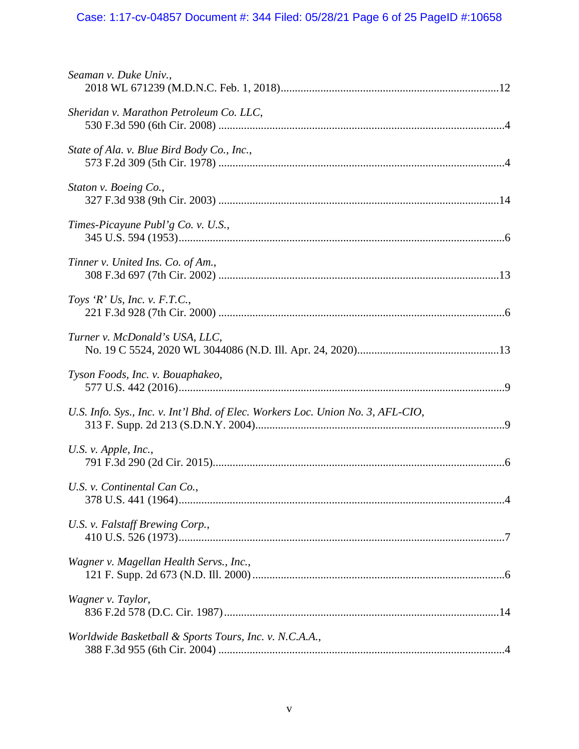# Case: 1:17-cv-04857 Document #: 344 Filed: 05/28/21 Page 6 of 25 PageID #:10658

| Seaman v. Duke Univ.,                                                           |  |
|---------------------------------------------------------------------------------|--|
| Sheridan v. Marathon Petroleum Co. LLC,                                         |  |
| State of Ala. v. Blue Bird Body Co., Inc.,                                      |  |
| Staton v. Boeing Co.,                                                           |  |
| Times-Picayune Publ'g Co. v. U.S.,                                              |  |
| Tinner v. United Ins. Co. of Am.,                                               |  |
| Toys 'R' Us, Inc. v. F.T.C.,                                                    |  |
| Turner v. McDonald's USA, LLC,                                                  |  |
| Tyson Foods, Inc. v. Bouaphakeo,                                                |  |
| U.S. Info. Sys., Inc. v. Int'l Bhd. of Elec. Workers Loc. Union No. 3, AFL-CIO, |  |
| U.S. v. Apple, Inc.,                                                            |  |
| U.S. v. Continental Can Co.,                                                    |  |
| U.S. v. Falstaff Brewing Corp.,                                                 |  |
| Wagner v. Magellan Health Servs., Inc.,                                         |  |
| Wagner v. Taylor,                                                               |  |
| Worldwide Basketball & Sports Tours, Inc. v. N.C.A.A.,                          |  |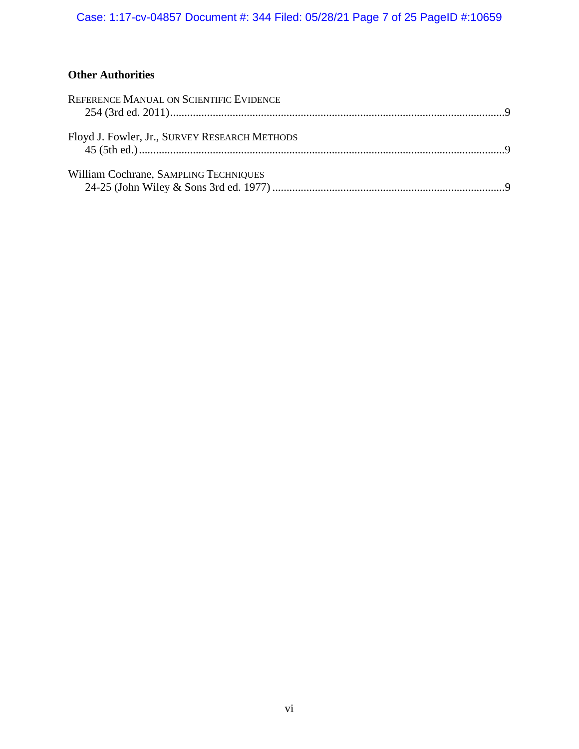# **Other Authorities**

| REFERENCE MANUAL ON SCIENTIFIC EVIDENCE       |  |
|-----------------------------------------------|--|
|                                               |  |
| Floyd J. Fowler, Jr., SURVEY RESEARCH METHODS |  |
|                                               |  |
| William Cochrane, SAMPLING TECHNIQUES         |  |
|                                               |  |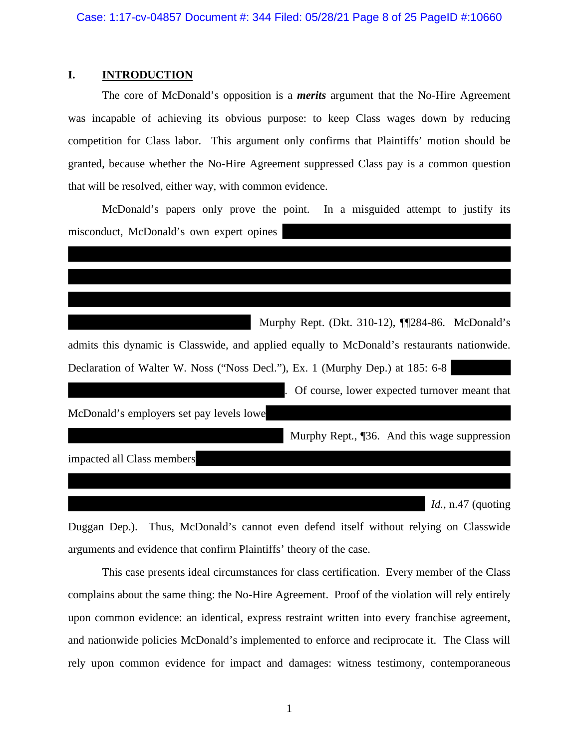#### **I. INTRODUCTION**

The core of McDonald's opposition is a *merits* argument that the No-Hire Agreement was incapable of achieving its obvious purpose: to keep Class wages down by reducing competition for Class labor. This argument only confirms that Plaintiffs' motion should be granted, because whether the No-Hire Agreement suppressed Class pay is a common question that will be resolved, either way, with common evidence.

McDonald's papers only prove the point. In a misguided attempt to justify its misconduct, McDonald's own expert opines

|                                                                                             | Murphy Rept. (Dkt. 310-12), ¶[284-86. McDonald's |
|---------------------------------------------------------------------------------------------|--------------------------------------------------|
| admits this dynamic is Classwide, and applied equally to McDonald's restaurants nationwide. |                                                  |
| Declaration of Walter W. Noss ("Noss Decl."), Ex. 1 (Murphy Dep.) at 185: 6-8               |                                                  |
|                                                                                             | Of course, lower expected turnover meant that    |
| McDonald's employers set pay levels lowe                                                    |                                                  |
|                                                                                             | Murphy Rept., 136. And this wage suppression     |
| impacted all Class members                                                                  |                                                  |
|                                                                                             |                                                  |
|                                                                                             | <i>Id.</i> , $n.47$ (quoting                     |

Duggan Dep.). Thus, McDonald's cannot even defend itself without relying on Classwide arguments and evidence that confirm Plaintiffs' theory of the case.

This case presents ideal circumstances for class certification. Every member of the Class complains about the same thing: the No-Hire Agreement. Proof of the violation will rely entirely upon common evidence: an identical, express restraint written into every franchise agreement, and nationwide policies McDonald's implemented to enforce and reciprocate it. The Class will rely upon common evidence for impact and damages: witness testimony, contemporaneous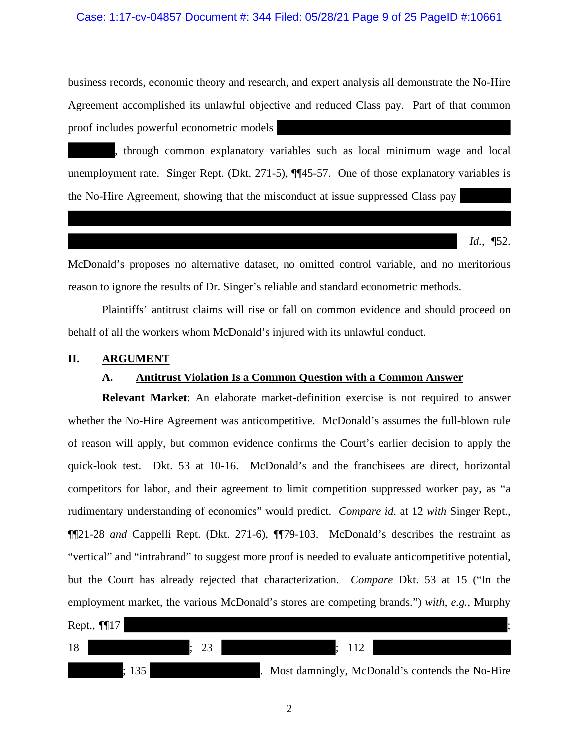#### Case: 1:17-cv-04857 Document #: 344 Filed: 05/28/21 Page 9 of 25 PageID #:10661

business records, economic theory and research, and expert analysis all demonstrate the No-Hire Agreement accomplished its unlawful objective and reduced Class pay. Part of that common proof includes powerful econometric models

, through common explanatory variables such as local minimum wage and local unemployment rate. Singer Rept. (Dkt. 271-5), ¶¶45-57. One of those explanatory variables is the No-Hire Agreement, showing that the misconduct at issue suppressed Class pay

*Id.*, ¶52.

McDonald's proposes no alternative dataset, no omitted control variable, and no meritorious reason to ignore the results of Dr. Singer's reliable and standard econometric methods.

Plaintiffs' antitrust claims will rise or fall on common evidence and should proceed on behalf of all the workers whom McDonald's injured with its unlawful conduct.

#### **II. ARGUMENT**

### **A. Antitrust Violation Is a Common Question with a Common Answer**

**Relevant Market**: An elaborate market-definition exercise is not required to answer whether the No-Hire Agreement was anticompetitive. McDonald's assumes the full-blown rule of reason will apply, but common evidence confirms the Court's earlier decision to apply the quick-look test. Dkt. 53 at 10-16. McDonald's and the franchisees are direct, horizontal competitors for labor, and their agreement to limit competition suppressed worker pay, as "a rudimentary understanding of economics" would predict. *Compare id*. at 12 *with* Singer Rept., ¶¶21-28 *and* Cappelli Rept. (Dkt. 271-6), ¶¶79-103. McDonald's describes the restraint as "vertical" and "intrabrand" to suggest more proof is needed to evaluate anticompetitive potential, but the Court has already rejected that characterization. *Compare* Dkt. 53 at 15 ("In the employment market, the various McDonald's stores are competing brands.") *with*, *e.g.*, Murphy

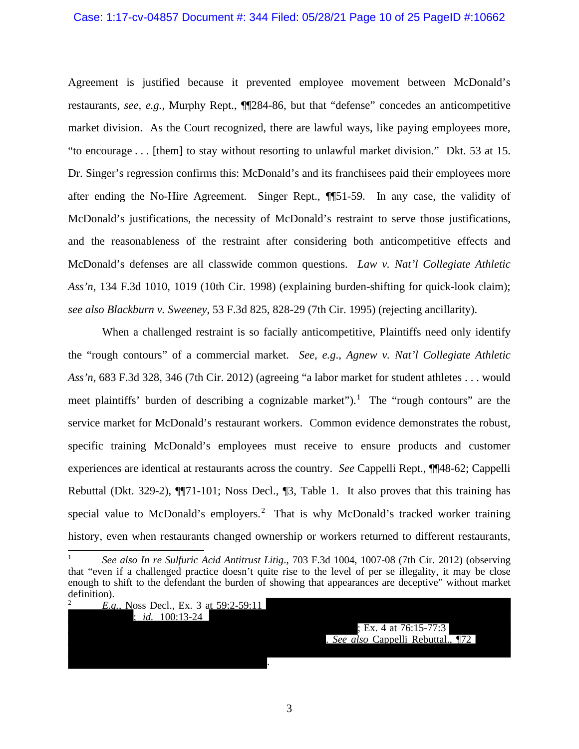#### Case: 1:17-cv-04857 Document #: 344 Filed: 05/28/21 Page 10 of 25 PageID #:10662

Agreement is justified because it prevented employee movement between McDonald's restaurants, *see*, *e.g.*, Murphy Rept., ¶¶284-86, but that "defense" concedes an anticompetitive market division. As the Court recognized, there are lawful ways, like paying employees more, "to encourage . . . [them] to stay without resorting to unlawful market division." Dkt. 53 at 15. Dr. Singer's regression confirms this: McDonald's and its franchisees paid their employees more after ending the No-Hire Agreement. Singer Rept., ¶¶51-59. In any case, the validity of McDonald's justifications, the necessity of McDonald's restraint to serve those justifications, and the reasonableness of the restraint after considering both anticompetitive effects and McDonald's defenses are all classwide common questions. *Law v. Nat'l Collegiate Athletic Ass'n*, 134 F.3d 1010, 1019 (10th Cir. 1998) (explaining burden-shifting for quick-look claim); *see also Blackburn v. Sweeney*, 53 F.3d 825, 828-29 (7th Cir. 1995) (rejecting ancillarity).

When a challenged restraint is so facially anticompetitive, Plaintiffs need only identify the "rough contours" of a commercial market. *See*, *e.g*., *Agnew v. Nat'l Collegiate Athletic Ass'n*, 683 F.3d 328, 346 (7th Cir. 2012) (agreeing "a labor market for student athletes . . . would meet plaintiffs' burden of describing a cognizable market").<sup>1</sup> The "rough contours" are the service market for McDonald's restaurant workers. Common evidence demonstrates the robust, specific training McDonald's employees must receive to ensure products and customer experiences are identical at restaurants across the country. *See* Cappelli Rept., ¶¶48-62; Cappelli Rebuttal (Dkt. 329-2), ¶¶71-101; Noss Decl., ¶3, Table 1. It also proves that this training has special value to McDonald's employers.<sup>2</sup> That is why McDonald's tracked worker training history, even when restaurants changed ownership or workers returned to different restaurants,

<sup>2</sup> *E.g.*, Noss Decl., Ex. 3 at 59:2-59:11

; *id.* 100:13-24

; Ex. 4 at 76:15-77:3 . *See also* Cappelli Rebuttal., ¶72

3

.

<sup>1</sup> *See also In re Sulfuric Acid Antitrust Litig*., 703 F.3d 1004, 1007-08 (7th Cir. 2012) (observing that "even if a challenged practice doesn't quite rise to the level of per se illegality, it may be close enough to shift to the defendant the burden of showing that appearances are deceptive" without market definition).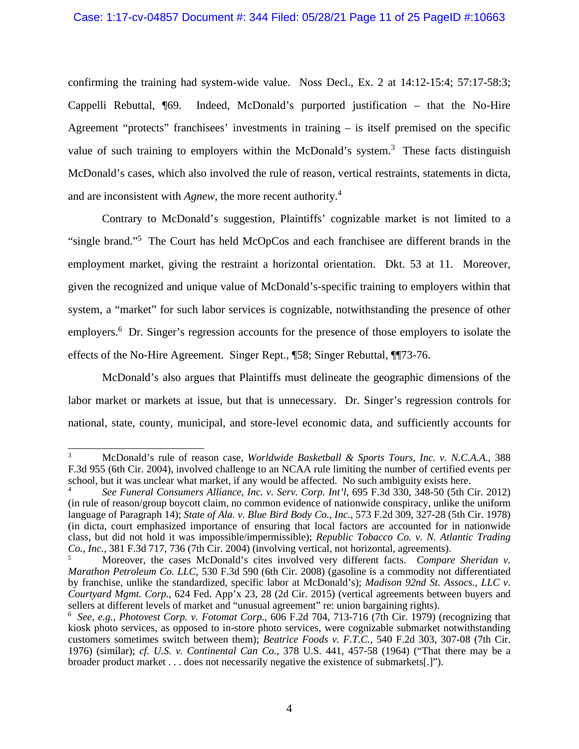confirming the training had system-wide value. Noss Decl., Ex. 2 at 14:12-15:4; 57:17-58:3; Cappelli Rebuttal, ¶69. Indeed, McDonald's purported justification – that the No-Hire Agreement "protects" franchisees' investments in training – is itself premised on the specific value of such training to employers within the McDonald's system.<sup>3</sup> These facts distinguish McDonald's cases, which also involved the rule of reason, vertical restraints, statements in dicta, and are inconsistent with *Agnew*, the more recent authority.<sup>4</sup>

Contrary to McDonald's suggestion, Plaintiffs' cognizable market is not limited to a "single brand."<sup>5</sup> The Court has held McOpCos and each franchisee are different brands in the employment market, giving the restraint a horizontal orientation. Dkt. 53 at 11. Moreover, given the recognized and unique value of McDonald's-specific training to employers within that system, a "market" for such labor services is cognizable, notwithstanding the presence of other employers.<sup>6</sup> Dr. Singer's regression accounts for the presence of those employers to isolate the effects of the No-Hire Agreement. Singer Rept., ¶58; Singer Rebuttal, ¶¶73-76.

McDonald's also argues that Plaintiffs must delineate the geographic dimensions of the labor market or markets at issue, but that is unnecessary. Dr. Singer's regression controls for national, state, county, municipal, and store-level economic data, and sufficiently accounts for

<sup>3</sup> McDonald's rule of reason case, *Worldwide Basketball & Sports Tours, Inc. v. N.C.A.A.*, 388 F.3d 955 (6th Cir. 2004), involved challenge to an NCAA rule limiting the number of certified events per school, but it was unclear what market, if any would be affected. No such ambiguity exists here.

<sup>4</sup> *See Funeral Consumers Alliance, Inc. v. Serv. Corp. Int'l*, 695 F.3d 330, 348-50 (5th Cir. 2012) (in rule of reason/group boycott claim, no common evidence of nationwide conspiracy, unlike the uniform language of Paragraph 14); *State of Ala. v. Blue Bird Body Co., Inc.*, 573 F.2d 309, 327-28 (5th Cir. 1978) (in dicta, court emphasized importance of ensuring that local factors are accounted for in nationwide class, but did not hold it was impossible/impermissible); *Republic Tobacco Co. v. N. Atlantic Trading Co., Inc.*, 381 F.3d 717, 736 (7th Cir. 2004) (involving vertical, not horizontal, agreements).

<sup>5</sup> Moreover, the cases McDonald's cites involved very different facts. *Compare Sheridan v. Marathon Petroleum Co. LLC*, 530 F.3d 590 (6th Cir. 2008) (gasoline is a commodity not differentiated by franchise, unlike the standardized, specific labor at McDonald's); *Madison 92nd St. Assocs., LLC v. Courtyard Mgmt. Corp.*, 624 Fed. App'x 23, 28 (2d Cir. 2015) (vertical agreements between buyers and sellers at different levels of market and "unusual agreement" re: union bargaining rights).

<sup>6</sup> *See*, *e.g.*, *Photovest Corp. v. Fotomat Corp.*, 606 F.2d 704, 713-716 (7th Cir. 1979) (recognizing that kiosk photo services, as opposed to in-store photo services, were cognizable submarket notwithstanding customers sometimes switch between them); *Beatrice Foods v. F.T.C.*, 540 F.2d 303, 307-08 (7th Cir. 1976) (similar); *cf. U.S. v. Continental Can Co.*, 378 U.S. 441, 457-58 (1964) ("That there may be a broader product market . . . does not necessarily negative the existence of submarkets[.]").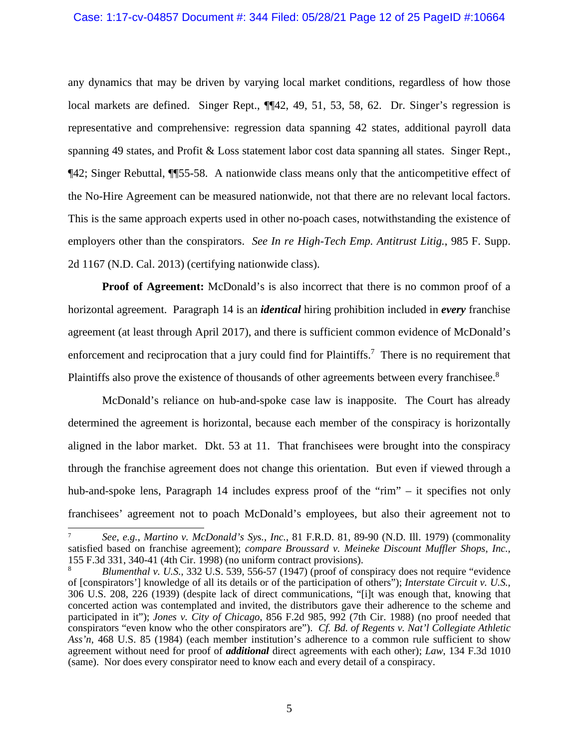#### Case: 1:17-cv-04857 Document #: 344 Filed: 05/28/21 Page 12 of 25 PageID #:10664

any dynamics that may be driven by varying local market conditions, regardless of how those local markets are defined. Singer Rept.,  $\P$ [42, 49, 51, 53, 58, 62. Dr. Singer's regression is representative and comprehensive: regression data spanning 42 states, additional payroll data spanning 49 states, and Profit & Loss statement labor cost data spanning all states. Singer Rept., ¶42; Singer Rebuttal, ¶¶55-58. A nationwide class means only that the anticompetitive effect of the No-Hire Agreement can be measured nationwide, not that there are no relevant local factors. This is the same approach experts used in other no-poach cases, notwithstanding the existence of employers other than the conspirators. *See In re High-Tech Emp. Antitrust Litig.*, 985 F. Supp. 2d 1167 (N.D. Cal. 2013) (certifying nationwide class).

**Proof of Agreement:** McDonald's is also incorrect that there is no common proof of a horizontal agreement. Paragraph 14 is an *identical* hiring prohibition included in *every* franchise agreement (at least through April 2017), and there is sufficient common evidence of McDonald's enforcement and reciprocation that a jury could find for Plaintiffs.<sup>7</sup> There is no requirement that Plaintiffs also prove the existence of thousands of other agreements between every franchisee.<sup>8</sup>

McDonald's reliance on hub-and-spoke case law is inapposite. The Court has already determined the agreement is horizontal, because each member of the conspiracy is horizontally aligned in the labor market. Dkt. 53 at 11. That franchisees were brought into the conspiracy through the franchise agreement does not change this orientation. But even if viewed through a hub-and-spoke lens, Paragraph 14 includes express proof of the "rim" – it specifies not only franchisees' agreement not to poach McDonald's employees, but also their agreement not to

<sup>7</sup> *See*, *e.g.*, *Martino v. McDonald's Sys., Inc.*, 81 F.R.D. 81, 89-90 (N.D. Ill. 1979) (commonality satisfied based on franchise agreement); *compare Broussard v. Meineke Discount Muffler Shops, Inc.*, 155 F.3d 331, 340-41 (4th Cir. 1998) (no uniform contract provisions).

<sup>8</sup> *Blumenthal v. U.S.*, 332 U.S. 539, 556-57 (1947) (proof of conspiracy does not require "evidence of [conspirators'] knowledge of all its details or of the participation of others"); *Interstate Circuit v. U.S.*, 306 U.S. 208, 226 (1939) (despite lack of direct communications, "[i]t was enough that, knowing that concerted action was contemplated and invited, the distributors gave their adherence to the scheme and participated in it"); *Jones v. City of Chicago*, 856 F.2d 985, 992 (7th Cir. 1988) (no proof needed that conspirators "even know who the other conspirators are"). *Cf. Bd. of Regents v. Nat'l Collegiate Athletic Ass'n*, 468 U.S. 85 (1984) (each member institution's adherence to a common rule sufficient to show agreement without need for proof of *additional* direct agreements with each other); *Law*, 134 F.3d 1010 (same). Nor does every conspirator need to know each and every detail of a conspiracy.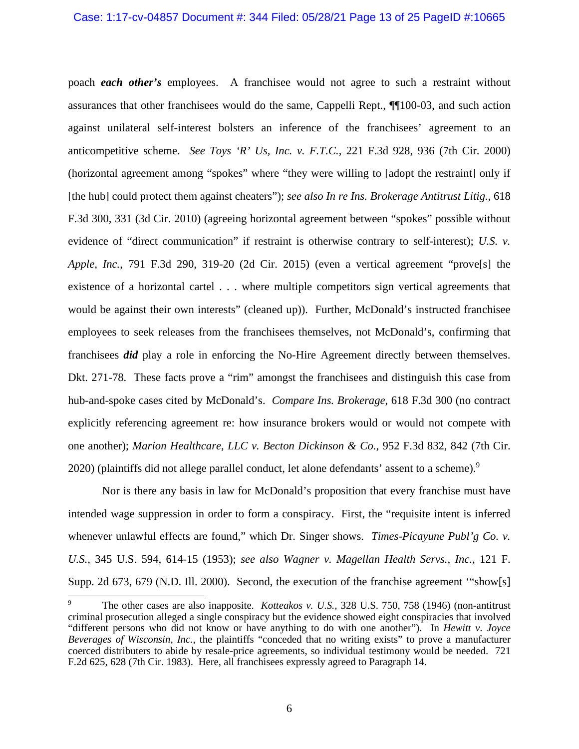poach *each other's* employees. A franchisee would not agree to such a restraint without assurances that other franchisees would do the same, Cappelli Rept., ¶¶100-03, and such action against unilateral self-interest bolsters an inference of the franchisees' agreement to an anticompetitive scheme. *See Toys 'R' Us, Inc. v. F.T.C.*, 221 F.3d 928, 936 (7th Cir. 2000) (horizontal agreement among "spokes" where "they were willing to [adopt the restraint] only if [the hub] could protect them against cheaters"); *see also In re Ins. Brokerage Antitrust Litig.*, 618 F.3d 300, 331 (3d Cir. 2010) (agreeing horizontal agreement between "spokes" possible without evidence of "direct communication" if restraint is otherwise contrary to self-interest); *U.S. v. Apple, Inc.*, 791 F.3d 290, 319-20 (2d Cir. 2015) (even a vertical agreement "prove[s] the existence of a horizontal cartel . . . where multiple competitors sign vertical agreements that would be against their own interests" (cleaned up)). Further, McDonald's instructed franchisee employees to seek releases from the franchisees themselves, not McDonald's, confirming that franchisees *did* play a role in enforcing the No-Hire Agreement directly between themselves. Dkt. 271-78. These facts prove a "rim" amongst the franchisees and distinguish this case from hub-and-spoke cases cited by McDonald's. *Compare Ins. Brokerage*, 618 F.3d 300 (no contract explicitly referencing agreement re: how insurance brokers would or would not compete with one another); *Marion Healthcare, LLC v. Becton Dickinson & Co.*, 952 F.3d 832, 842 (7th Cir.  $2020$ ) (plaintiffs did not allege parallel conduct, let alone defendants' assent to a scheme).<sup>9</sup>

Nor is there any basis in law for McDonald's proposition that every franchise must have intended wage suppression in order to form a conspiracy. First, the "requisite intent is inferred whenever unlawful effects are found," which Dr. Singer shows. *Times-Picayune Publ'g Co. v. U.S.*, 345 U.S. 594, 614-15 (1953); *see also Wagner v. Magellan Health Servs., Inc.*, 121 F. Supp. 2d 673, 679 (N.D. Ill. 2000). Second, the execution of the franchise agreement "show[s]

<sup>9</sup> The other cases are also inapposite. *Kotteakos v. U.S.*, 328 U.S. 750, 758 (1946) (non-antitrust criminal prosecution alleged a single conspiracy but the evidence showed eight conspiracies that involved "different persons who did not know or have anything to do with one another"). In *Hewitt v. Joyce Beverages of Wisconsin, Inc.*, the plaintiffs "conceded that no writing exists" to prove a manufacturer coerced distributers to abide by resale-price agreements, so individual testimony would be needed. 721 F.2d 625, 628 (7th Cir. 1983). Here, all franchisees expressly agreed to Paragraph 14.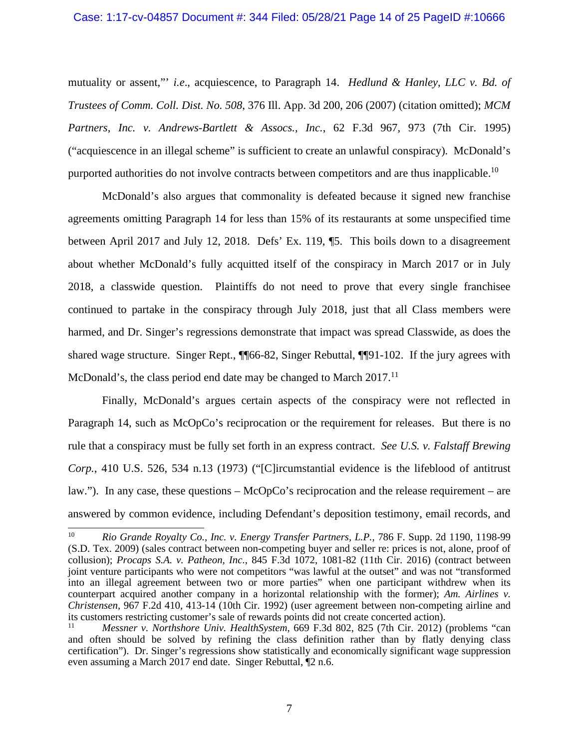#### Case: 1:17-cv-04857 Document #: 344 Filed: 05/28/21 Page 14 of 25 PageID #:10666

mutuality or assent,"' *i.e*., acquiescence, to Paragraph 14. *Hedlund & Hanley, LLC v. Bd. of Trustees of Comm. Coll. Dist. No. 508*, 376 Ill. App. 3d 200, 206 (2007) (citation omitted); *MCM Partners, Inc. v. Andrews-Bartlett & Assocs., Inc.*, 62 F.3d 967, 973 (7th Cir. 1995) ("acquiescence in an illegal scheme" is sufficient to create an unlawful conspiracy). McDonald's purported authorities do not involve contracts between competitors and are thus inapplicable.<sup>10</sup>

McDonald's also argues that commonality is defeated because it signed new franchise agreements omitting Paragraph 14 for less than 15% of its restaurants at some unspecified time between April 2017 and July 12, 2018. Defs' Ex. 119, ¶5. This boils down to a disagreement about whether McDonald's fully acquitted itself of the conspiracy in March 2017 or in July 2018, a classwide question. Plaintiffs do not need to prove that every single franchisee continued to partake in the conspiracy through July 2018, just that all Class members were harmed, and Dr. Singer's regressions demonstrate that impact was spread Classwide, as does the shared wage structure. Singer Rept., ¶¶66-82, Singer Rebuttal, ¶¶91-102. If the jury agrees with McDonald's, the class period end date may be changed to March  $2017$ .<sup>11</sup>

Finally, McDonald's argues certain aspects of the conspiracy were not reflected in Paragraph 14, such as McOpCo's reciprocation or the requirement for releases. But there is no rule that a conspiracy must be fully set forth in an express contract. *See U.S. v. Falstaff Brewing Corp.*, 410 U.S. 526, 534 n.13 (1973) ("[C]ircumstantial evidence is the lifeblood of antitrust law."). In any case, these questions – McOpCo's reciprocation and the release requirement – are answered by common evidence, including Defendant's deposition testimony, email records, and

<sup>10</sup> *Rio Grande Royalty Co., Inc. v. Energy Transfer Partners, L.P.*, 786 F. Supp. 2d 1190, 1198-99 (S.D. Tex. 2009) (sales contract between non-competing buyer and seller re: prices is not, alone, proof of collusion); *Procaps S.A. v. Patheon, Inc.*, 845 F.3d 1072, 1081-82 (11th Cir. 2016) (contract between joint venture participants who were not competitors "was lawful at the outset" and was not "transformed into an illegal agreement between two or more parties" when one participant withdrew when its counterpart acquired another company in a horizontal relationship with the former); *Am. Airlines v. Christensen*, 967 F.2d 410, 413-14 (10th Cir. 1992) (user agreement between non-competing airline and its customers restricting customer's sale of rewards points did not create concerted action).

<sup>11</sup> *Messner v. Northshore Univ. HealthSystem*, 669 F.3d 802, 825 (7th Cir. 2012) (problems "can and often should be solved by refining the class definition rather than by flatly denying class certification"). Dr. Singer's regressions show statistically and economically significant wage suppression even assuming a March 2017 end date. Singer Rebuttal, ¶2 n.6.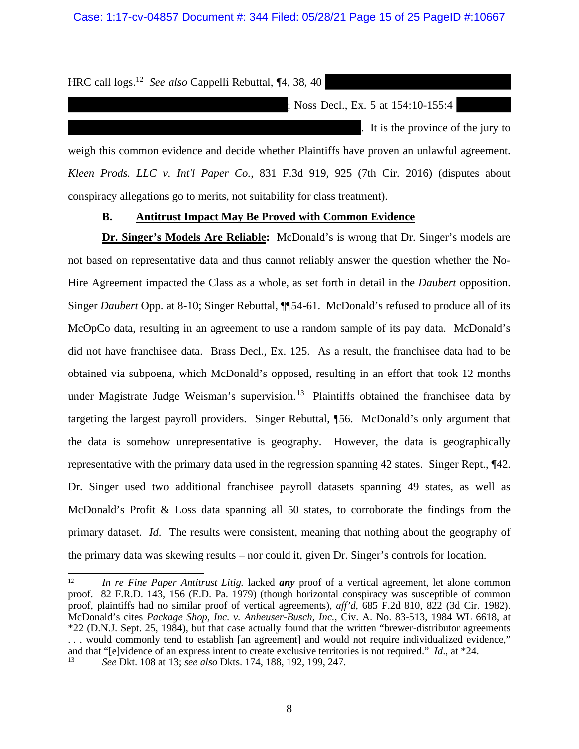HRC call logs.<sup>12</sup> *See also* Cappelli Rebuttal, ¶4, 38, 40

Noss Decl., Ex. 5 at 154:10-155:4

. It is the province of the jury to

weigh this common evidence and decide whether Plaintiffs have proven an unlawful agreement. *Kleen Prods. LLC v. Int'l Paper Co.*, 831 F.3d 919, 925 (7th Cir. 2016) (disputes about conspiracy allegations go to merits, not suitability for class treatment).

#### **B. Antitrust Impact May Be Proved with Common Evidence**

**Dr. Singer's Models Are Reliable:** McDonald's is wrong that Dr. Singer's models are not based on representative data and thus cannot reliably answer the question whether the No-Hire Agreement impacted the Class as a whole, as set forth in detail in the *Daubert* opposition. Singer *Daubert* Opp. at 8-10; Singer Rebuttal, ¶¶54-61. McDonald's refused to produce all of its McOpCo data, resulting in an agreement to use a random sample of its pay data. McDonald's did not have franchisee data. Brass Decl., Ex. 125. As a result, the franchisee data had to be obtained via subpoena, which McDonald's opposed, resulting in an effort that took 12 months under Magistrate Judge Weisman's supervision.<sup>13</sup> Plaintiffs obtained the franchise data by targeting the largest payroll providers. Singer Rebuttal, ¶56. McDonald's only argument that the data is somehow unrepresentative is geography. However, the data is geographically representative with the primary data used in the regression spanning 42 states. Singer Rept., ¶42. Dr. Singer used two additional franchisee payroll datasets spanning 49 states, as well as McDonald's Profit & Loss data spanning all 50 states, to corroborate the findings from the primary dataset. *Id*. The results were consistent, meaning that nothing about the geography of the primary data was skewing results – nor could it, given Dr. Singer's controls for location.

<sup>12</sup> *In re Fine Paper Antitrust Litig.* lacked *any* proof of a vertical agreement, let alone common proof. 82 F.R.D. 143, 156 (E.D. Pa. 1979) (though horizontal conspiracy was susceptible of common proof, plaintiffs had no similar proof of vertical agreements), *aff'd*, 685 F.2d 810, 822 (3d Cir. 1982). McDonald's cites *Package Shop, Inc. v. Anheuser-Busch, Inc.*, Civ. A. No. 83-513, 1984 WL 6618, at \*22 (D.N.J. Sept. 25, 1984), but that case actually found that the written "brewer-distributor agreements . . . would commonly tend to establish [an agreement] and would not require individualized evidence," and that "[e]vidence of an express intent to create exclusive territories is not required." *Id.*, at \*24. <sup>13</sup> *See* Dkt. 108 at 13; *see also* Dkts. 174, 188, 192, 199, 247.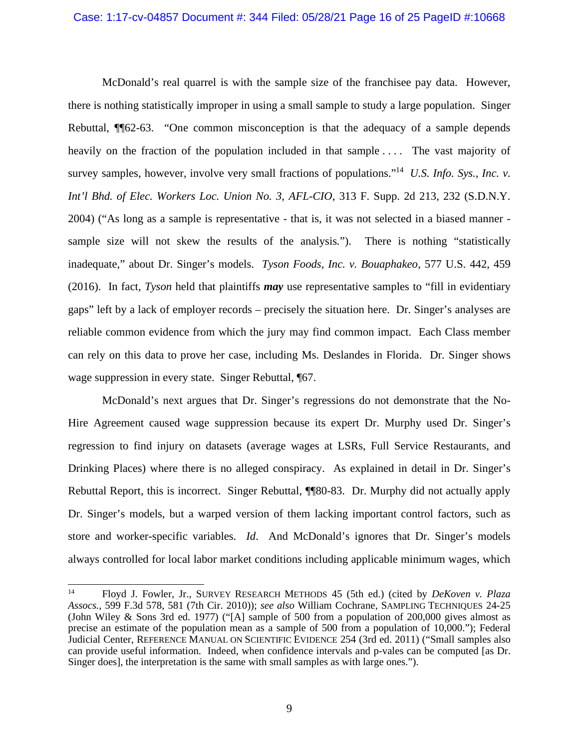McDonald's real quarrel is with the sample size of the franchisee pay data. However, there is nothing statistically improper in using a small sample to study a large population. Singer Rebuttal, ¶¶62-63. "One common misconception is that the adequacy of a sample depends heavily on the fraction of the population included in that sample .... The vast majority of survey samples, however, involve very small fractions of populations."<sup>14</sup> U.S. Info. Sys., Inc. v. *Int'l Bhd. of Elec. Workers Loc. Union No. 3, AFL-CIO*, 313 F. Supp. 2d 213, 232 (S.D.N.Y. 2004) ("As long as a sample is representative - that is, it was not selected in a biased manner sample size will not skew the results of the analysis*.*"). There is nothing "statistically inadequate," about Dr. Singer's models. *Tyson Foods, Inc. v. Bouaphakeo*, 577 U.S. 442, 459 (2016). In fact, *Tyson* held that plaintiffs *may* use representative samples to "fill in evidentiary gaps" left by a lack of employer records – precisely the situation here. Dr. Singer's analyses are reliable common evidence from which the jury may find common impact. Each Class member can rely on this data to prove her case, including Ms. Deslandes in Florida. Dr. Singer shows wage suppression in every state. Singer Rebuttal, [67.]

McDonald's next argues that Dr. Singer's regressions do not demonstrate that the No-Hire Agreement caused wage suppression because its expert Dr. Murphy used Dr. Singer's regression to find injury on datasets (average wages at LSRs, Full Service Restaurants, and Drinking Places) where there is no alleged conspiracy. As explained in detail in Dr. Singer's Rebuttal Report, this is incorrect. Singer Rebuttal, ¶¶80-83. Dr. Murphy did not actually apply Dr. Singer's models, but a warped version of them lacking important control factors, such as store and worker-specific variables. *Id*. And McDonald's ignores that Dr. Singer's models always controlled for local labor market conditions including applicable minimum wages, which

<sup>14</sup> Floyd J. Fowler, Jr., SURVEY RESEARCH METHODS 45 (5th ed.) (cited by *DeKoven v. Plaza Assocs.*, 599 F.3d 578, 581 (7th Cir. 2010)); *see also* William Cochrane, SAMPLING TECHNIQUES 24-25 (John Wiley & Sons 3rd ed. 1977) ("[A] sample of 500 from a population of 200,000 gives almost as precise an estimate of the population mean as a sample of 500 from a population of 10,000."); Federal Judicial Center, REFERENCE MANUAL ON SCIENTIFIC EVIDENCE 254 (3rd ed. 2011) ("Small samples also can provide useful information. Indeed, when confidence intervals and p-vales can be computed [as Dr. Singer does], the interpretation is the same with small samples as with large ones.").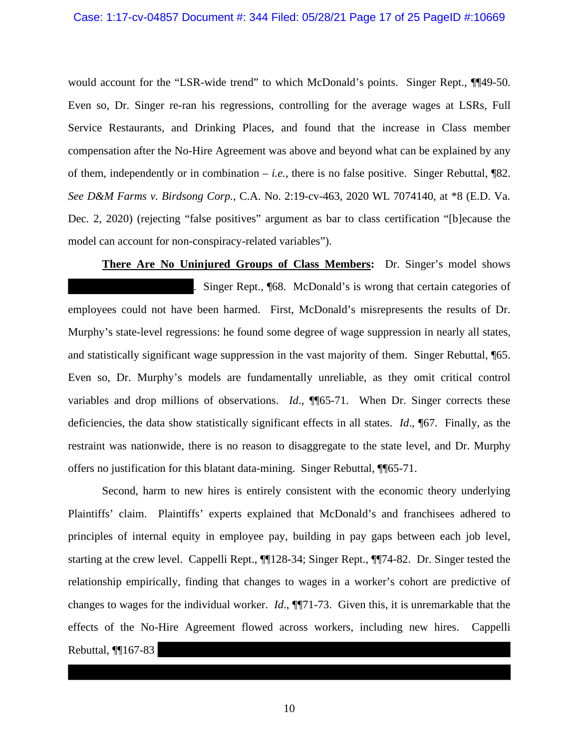would account for the "LSR-wide trend" to which McDonald's points. Singer Rept.,  $\P$ [49-50. Even so, Dr. Singer re-ran his regressions, controlling for the average wages at LSRs, Full Service Restaurants, and Drinking Places, and found that the increase in Class member compensation after the No-Hire Agreement was above and beyond what can be explained by any of them, independently or in combination  $-i.e.,$  there is no false positive. Singer Rebuttal,  $\sqrt{82}$ . *See D&M Farms v. Birdsong Corp.*, C.A. No. 2:19-cv-463, 2020 WL 7074140, at \*8 (E.D. Va. Dec. 2, 2020) (rejecting "false positives" argument as bar to class certification "[b]ecause the model can account for non-conspiracy-related variables").

**There Are No Uninjured Groups of Class Members:** Dr. Singer's model shows . Singer Rept., ¶68. McDonald's is wrong that certain categories of employees could not have been harmed. First, McDonald's misrepresents the results of Dr. Murphy's state-level regressions: he found some degree of wage suppression in nearly all states, and statistically significant wage suppression in the vast majority of them. Singer Rebuttal, ¶65. Even so, Dr. Murphy's models are fundamentally unreliable, as they omit critical control variables and drop millions of observations. *Id.*, ¶¶65-71. When Dr. Singer corrects these deficiencies, the data show statistically significant effects in all states. *Id*., ¶67. Finally, as the restraint was nationwide, there is no reason to disaggregate to the state level, and Dr. Murphy offers no justification for this blatant data-mining. Singer Rebuttal, ¶¶65-71.

Second, harm to new hires is entirely consistent with the economic theory underlying Plaintiffs' claim. Plaintiffs' experts explained that McDonald's and franchisees adhered to principles of internal equity in employee pay, building in pay gaps between each job level, starting at the crew level. Cappelli Rept., ¶¶128-34; Singer Rept., ¶¶74-82. Dr. Singer tested the relationship empirically, finding that changes to wages in a worker's cohort are predictive of changes to wages for the individual worker. *Id*., ¶¶71-73. Given this, it is unremarkable that the effects of the No-Hire Agreement flowed across workers, including new hires. Cappelli Rebuttal, ¶¶167-83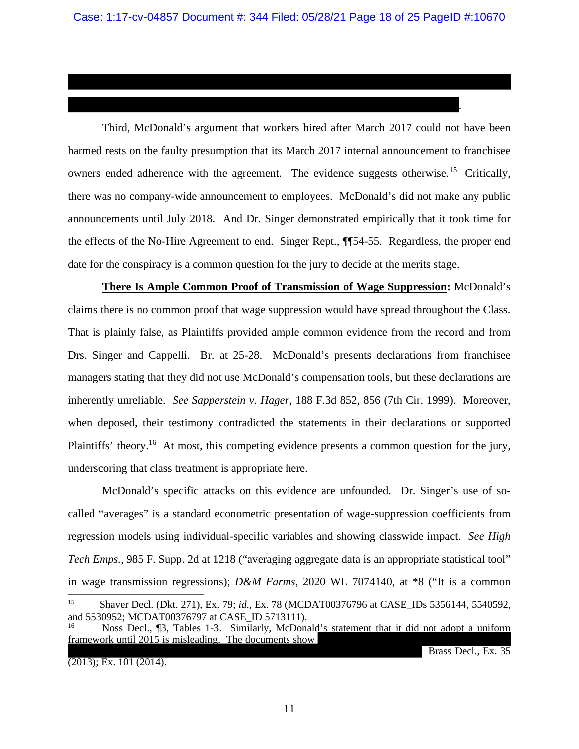Third, McDonald's argument that workers hired after March 2017 could not have been harmed rests on the faulty presumption that its March 2017 internal announcement to franchisee owners ended adherence with the agreement. The evidence suggests otherwise.<sup>15</sup> Critically, there was no company-wide announcement to employees. McDonald's did not make any public announcements until July 2018. And Dr. Singer demonstrated empirically that it took time for the effects of the No-Hire Agreement to end. Singer Rept., ¶¶54-55. Regardless, the proper end date for the conspiracy is a common question for the jury to decide at the merits stage.

**There Is Ample Common Proof of Transmission of Wage Suppression:** McDonald's claims there is no common proof that wage suppression would have spread throughout the Class. That is plainly false, as Plaintiffs provided ample common evidence from the record and from Drs. Singer and Cappelli. Br. at 25-28. McDonald's presents declarations from franchisee managers stating that they did not use McDonald's compensation tools, but these declarations are inherently unreliable. *See Sapperstein v. Hager*, 188 F.3d 852, 856 (7th Cir. 1999). Moreover, when deposed, their testimony contradicted the statements in their declarations or supported Plaintiffs' theory.<sup>16</sup> At most, this competing evidence presents a common question for the jury, underscoring that class treatment is appropriate here.

McDonald's specific attacks on this evidence are unfounded. Dr. Singer's use of socalled "averages" is a standard econometric presentation of wage-suppression coefficients from regression models using individual-specific variables and showing classwide impact. *See High Tech Emps.*, 985 F. Supp. 2d at 1218 ("averaging aggregate data is an appropriate statistical tool" in wage transmission regressions); *D&M Farms*, 2020 WL 7074140, at \*8 ("It is a common <sup>15</sup> Shaver Decl. (Dkt. 271), Ex. 79; *id*., Ex. 78 (MCDAT00376796 at CASE\_IDs 5356144, 5540592,

(2013); Ex. 101 (2014).

Brass Decl., Ex. 35

.

and 5530952; MCDAT00376797 at CASE\_ID 5713111).

Noss Decl., ¶3, Tables 1-3. Similarly, McDonald's statement that it did not adopt a uniform framework until  $2015$  is misleading. The documents show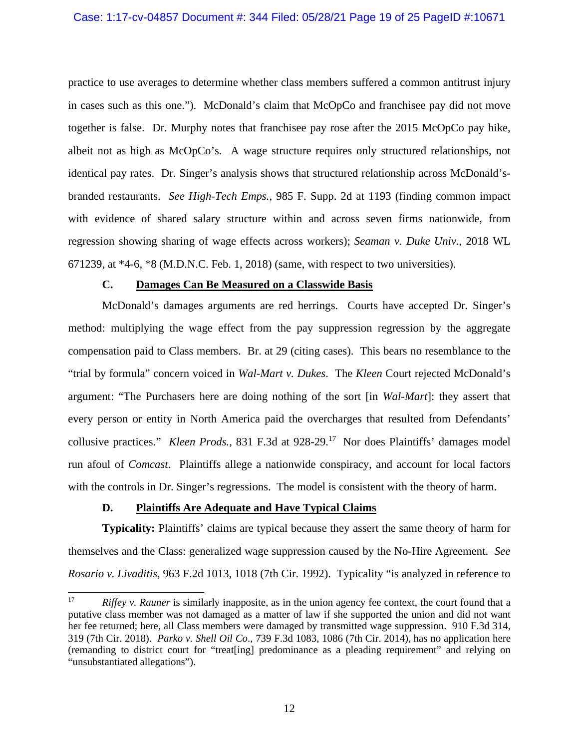practice to use averages to determine whether class members suffered a common antitrust injury in cases such as this one."). McDonald's claim that McOpCo and franchisee pay did not move together is false. Dr. Murphy notes that franchisee pay rose after the 2015 McOpCo pay hike, albeit not as high as McOpCo's. A wage structure requires only structured relationships, not identical pay rates. Dr. Singer's analysis shows that structured relationship across McDonald'sbranded restaurants. *See High-Tech Emps.*, 985 F. Supp. 2d at 1193 (finding common impact with evidence of shared salary structure within and across seven firms nationwide, from regression showing sharing of wage effects across workers); *Seaman v. Duke Univ.*, 2018 WL 671239, at \*4-6, \*8 (M.D.N.C. Feb. 1, 2018) (same, with respect to two universities).

#### **C. Damages Can Be Measured on a Classwide Basis**

McDonald's damages arguments are red herrings. Courts have accepted Dr. Singer's method: multiplying the wage effect from the pay suppression regression by the aggregate compensation paid to Class members. Br. at 29 (citing cases). This bears no resemblance to the "trial by formula" concern voiced in *Wal-Mart v. Dukes*. The *Kleen* Court rejected McDonald's argument: "The Purchasers here are doing nothing of the sort [in *Wal-Mart*]: they assert that every person or entity in North America paid the overcharges that resulted from Defendants' collusive practices." *Kleen Prods.*, 831 F.3d at 928-29.<sup>17</sup> Nor does Plaintiffs' damages model run afoul of *Comcast*. Plaintiffs allege a nationwide conspiracy, and account for local factors with the controls in Dr. Singer's regressions. The model is consistent with the theory of harm.

### **D. Plaintiffs Are Adequate and Have Typical Claims**

**Typicality:** Plaintiffs' claims are typical because they assert the same theory of harm for themselves and the Class: generalized wage suppression caused by the No-Hire Agreement. *See Rosario v. Livaditis*, 963 F.2d 1013, 1018 (7th Cir. 1992). Typicality "is analyzed in reference to

<sup>&</sup>lt;sup>17</sup> *Riffey v. Rauner* is similarly inapposite, as in the union agency fee context, the court found that a putative class member was not damaged as a matter of law if she supported the union and did not want her fee returned; here, all Class members were damaged by transmitted wage suppression. 910 F.3d 314, 319 (7th Cir. 2018). *Parko v. Shell Oil Co*., 739 F.3d 1083, 1086 (7th Cir. 2014), has no application here (remanding to district court for "treat[ing] predominance as a pleading requirement" and relying on "unsubstantiated allegations").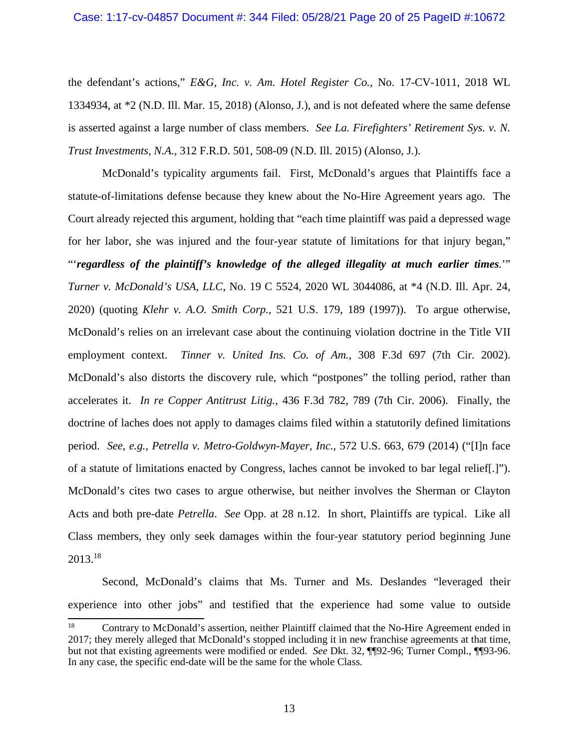the defendant's actions," *E&G, Inc. v. Am. Hotel Register Co.*, No. 17-CV-1011, 2018 WL 1334934, at \*2 (N.D. Ill. Mar. 15, 2018) (Alonso, J.), and is not defeated where the same defense is asserted against a large number of class members. *See La. Firefighters' Retirement Sys. v. N. Trust Investments, N.A.*, 312 F.R.D. 501, 508-09 (N.D. Ill. 2015) (Alonso, J.).

McDonald's typicality arguments fail. First, McDonald's argues that Plaintiffs face a statute-of-limitations defense because they knew about the No-Hire Agreement years ago. The Court already rejected this argument, holding that "each time plaintiff was paid a depressed wage for her labor, she was injured and the four-year statute of limitations for that injury began," "'*regardless of the plaintiff's knowledge of the alleged illegality at much earlier times.*'" *Turner v. McDonald's USA, LLC*, No. 19 C 5524, 2020 WL 3044086, at \*4 (N.D. Ill. Apr. 24, 2020) (quoting *Klehr v. A.O. Smith Corp.*, 521 U.S. 179, 189 (1997)). To argue otherwise, McDonald's relies on an irrelevant case about the continuing violation doctrine in the Title VII employment context. *Tinner v. United Ins. Co. of Am.*, 308 F.3d 697 (7th Cir. 2002). McDonald's also distorts the discovery rule, which "postpones" the tolling period, rather than accelerates it. *In re Copper Antitrust Litig.*, 436 F.3d 782, 789 (7th Cir. 2006). Finally, the doctrine of laches does not apply to damages claims filed within a statutorily defined limitations period. *See*, *e.g.*, *Petrella v. Metro-Goldwyn-Mayer, Inc.*, 572 U.S. 663, 679 (2014) ("[I]n face of a statute of limitations enacted by Congress, laches cannot be invoked to bar legal relief[.]"). McDonald's cites two cases to argue otherwise, but neither involves the Sherman or Clayton Acts and both pre-date *Petrella*. *See* Opp. at 28 n.12. In short, Plaintiffs are typical. Like all Class members, they only seek damages within the four-year statutory period beginning June 2013.<sup>18</sup>

Second, McDonald's claims that Ms. Turner and Ms. Deslandes "leveraged their experience into other jobs" and testified that the experience had some value to outside

<sup>&</sup>lt;sup>18</sup> Contrary to McDonald's assertion, neither Plaintiff claimed that the No-Hire Agreement ended in 2017; they merely alleged that McDonald's stopped including it in new franchise agreements at that time, but not that existing agreements were modified or ended. *See* Dkt. 32, ¶¶92-96; Turner Compl., ¶¶93-96. In any case, the specific end-date will be the same for the whole Class.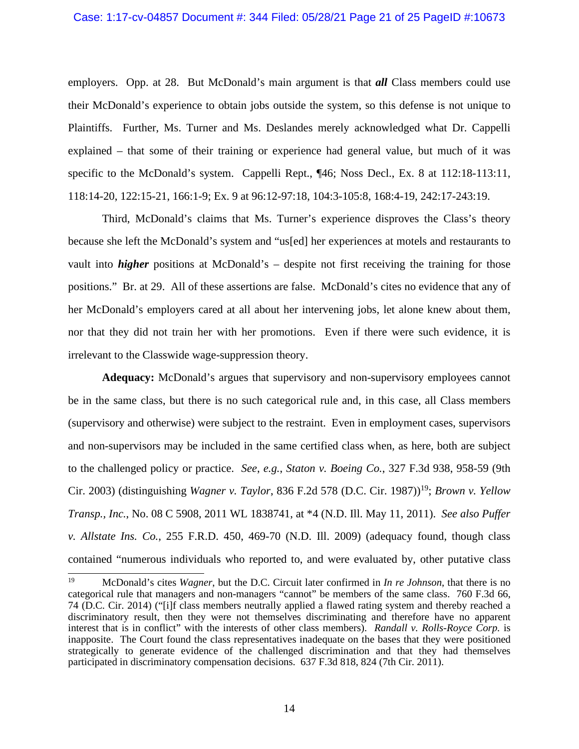#### Case: 1:17-cv-04857 Document #: 344 Filed: 05/28/21 Page 21 of 25 PageID #:10673

employers. Opp. at 28. But McDonald's main argument is that **all** Class members could use their McDonald's experience to obtain jobs outside the system, so this defense is not unique to Plaintiffs. Further, Ms. Turner and Ms. Deslandes merely acknowledged what Dr. Cappelli explained – that some of their training or experience had general value, but much of it was specific to the McDonald's system. Cappelli Rept., ¶46; Noss Decl., Ex. 8 at 112:18-113:11, 118:14-20, 122:15-21, 166:1-9; Ex. 9 at 96:12-97:18, 104:3-105:8, 168:4-19, 242:17-243:19.

Third, McDonald's claims that Ms. Turner's experience disproves the Class's theory because she left the McDonald's system and "us[ed] her experiences at motels and restaurants to vault into *higher* positions at McDonald's – despite not first receiving the training for those positions." Br. at 29. All of these assertions are false. McDonald's cites no evidence that any of her McDonald's employers cared at all about her intervening jobs, let alone knew about them, nor that they did not train her with her promotions. Even if there were such evidence, it is irrelevant to the Classwide wage-suppression theory.

**Adequacy:** McDonald's argues that supervisory and non-supervisory employees cannot be in the same class, but there is no such categorical rule and, in this case, all Class members (supervisory and otherwise) were subject to the restraint. Even in employment cases, supervisors and non-supervisors may be included in the same certified class when, as here, both are subject to the challenged policy or practice. *See*, *e.g.*, *Staton v. Boeing Co.*, 327 F.3d 938, 958-59 (9th Cir. 2003) (distinguishing *Wagner v. Taylor*, 836 F.2d 578 (D.C. Cir. 1987))<sup>19</sup>; *Brown v. Yellow Transp., Inc.*, No. 08 C 5908, 2011 WL 1838741, at \*4 (N.D. Ill. May 11, 2011). *See also Puffer v. Allstate Ins. Co.*, 255 F.R.D. 450, 469-70 (N.D. Ill. 2009) (adequacy found, though class contained "numerous individuals who reported to, and were evaluated by, other putative class

<sup>19</sup> McDonald's cites *Wagner*, but the D.C. Circuit later confirmed in *In re Johnson*, that there is no categorical rule that managers and non-managers "cannot" be members of the same class. 760 F.3d 66, 74 (D.C. Cir. 2014) ("[i]f class members neutrally applied a flawed rating system and thereby reached a discriminatory result, then they were not themselves discriminating and therefore have no apparent interest that is in conflict" with the interests of other class members). *Randall v. Rolls-Royce Corp.* is inapposite. The Court found the class representatives inadequate on the bases that they were positioned strategically to generate evidence of the challenged discrimination and that they had themselves participated in discriminatory compensation decisions. 637 F.3d 818, 824 (7th Cir. 2011).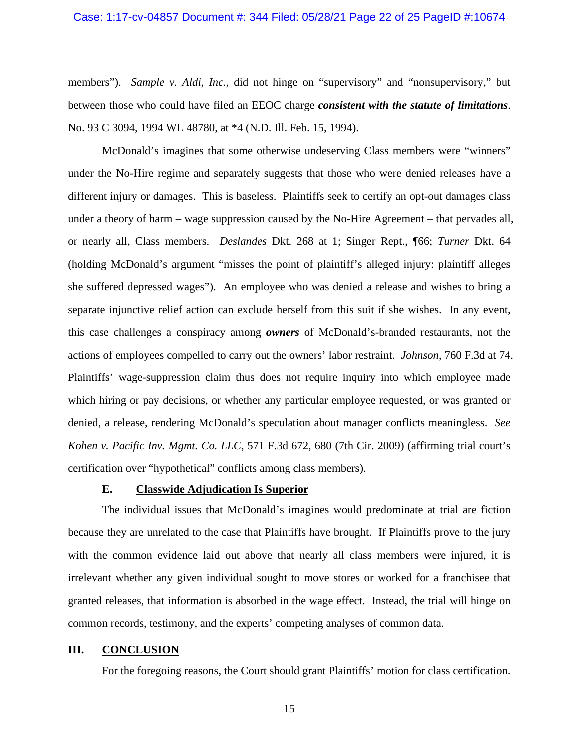#### Case: 1:17-cv-04857 Document #: 344 Filed: 05/28/21 Page 22 of 25 PageID #:10674

members"). *Sample v. Aldi, Inc.*, did not hinge on "supervisory" and "nonsupervisory," but between those who could have filed an EEOC charge *consistent with the statute of limitations*. No. 93 C 3094, 1994 WL 48780, at \*4 (N.D. Ill. Feb. 15, 1994).

McDonald's imagines that some otherwise undeserving Class members were "winners" under the No-Hire regime and separately suggests that those who were denied releases have a different injury or damages. This is baseless. Plaintiffs seek to certify an opt-out damages class under a theory of harm – wage suppression caused by the No-Hire Agreement – that pervades all, or nearly all, Class members. *Deslandes* Dkt. 268 at 1; Singer Rept., ¶66; *Turner* Dkt. 64 (holding McDonald's argument "misses the point of plaintiff's alleged injury: plaintiff alleges she suffered depressed wages"). An employee who was denied a release and wishes to bring a separate injunctive relief action can exclude herself from this suit if she wishes. In any event, this case challenges a conspiracy among *owners* of McDonald's-branded restaurants, not the actions of employees compelled to carry out the owners' labor restraint. *Johnson*, 760 F.3d at 74. Plaintiffs' wage-suppression claim thus does not require inquiry into which employee made which hiring or pay decisions, or whether any particular employee requested, or was granted or denied, a release, rendering McDonald's speculation about manager conflicts meaningless. *See Kohen v. Pacific Inv. Mgmt. Co. LLC*, 571 F.3d 672, 680 (7th Cir. 2009) (affirming trial court's certification over "hypothetical" conflicts among class members).

### **E. Classwide Adjudication Is Superior**

The individual issues that McDonald's imagines would predominate at trial are fiction because they are unrelated to the case that Plaintiffs have brought. If Plaintiffs prove to the jury with the common evidence laid out above that nearly all class members were injured, it is irrelevant whether any given individual sought to move stores or worked for a franchisee that granted releases, that information is absorbed in the wage effect. Instead, the trial will hinge on common records, testimony, and the experts' competing analyses of common data.

#### **III. CONCLUSION**

For the foregoing reasons, the Court should grant Plaintiffs' motion for class certification.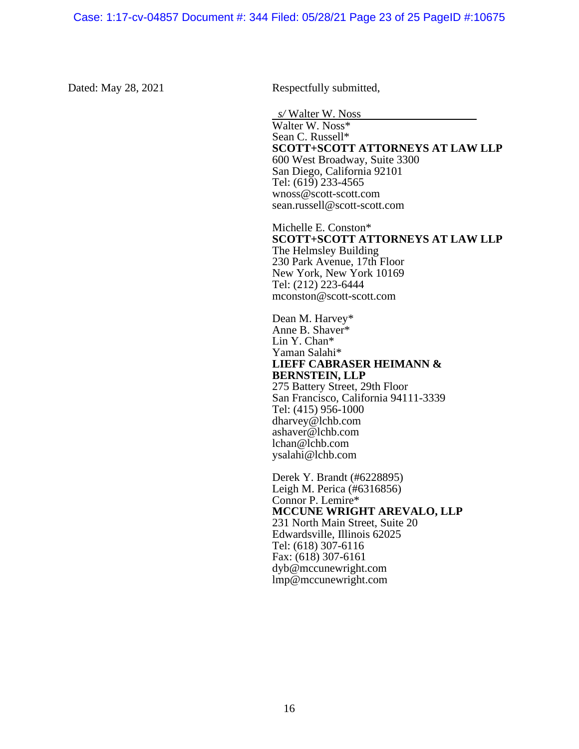Dated: May 28, 2021 Respectfully submitted,

*s/* Walter W. Noss Walter W. Noss\* Sean C. Russell\* **SCOTT+SCOTT ATTORNEYS AT LAW LLP**  600 West Broadway, Suite 3300 San Diego, California 92101 Tel: (619) 233-4565 wnoss@scott-scott.com sean.russell@scott-scott.com

Michelle E. Conston\* **SCOTT+SCOTT ATTORNEYS AT LAW LLP**  The Helmsley Building 230 Park Avenue, 17th Floor New York, New York 10169 Tel: (212) 223-6444 mconston@scott-scott.com

Dean M. Harvey\* Anne B. Shaver\* Lin Y. Chan\* Yaman Salahi\* **LIEFF CABRASER HEIMANN & BERNSTEIN, LLP**  275 Battery Street, 29th Floor San Francisco, California 94111-3339 Tel: (415) 956-1000 dharvey@lchb.com ashaver@lchb.com lchan@lchb.com ysalahi@lchb.com

Derek Y. Brandt (#6228895) Leigh M. Perica (#6316856) Connor P. Lemire\* **MCCUNE WRIGHT AREVALO, LLP**  231 North Main Street, Suite 20 Edwardsville, Illinois 62025 Tel: (618) 307-6116 Fax: (618) 307-6161 dyb@mccunewright.com lmp@mccunewright.com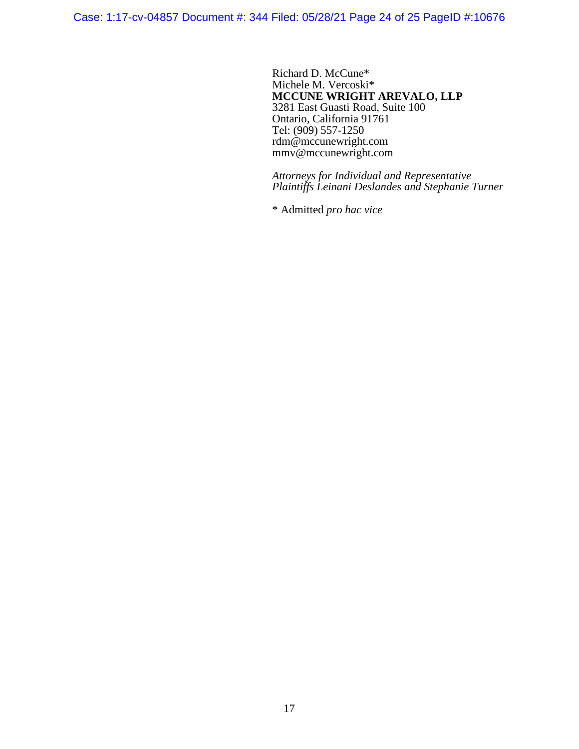Case: 1:17-cv-04857 Document #: 344 Filed: 05/28/21 Page 24 of 25 PageID #:10676

Richard D. McCune\* Michele M. Vercoski\* **MCCUNE WRIGHT AREVALO, LLP**  3281 East Guasti Road, Suite 100 Ontario, California 91761 Tel: (909) 557-1250 rdm@mccunewright.com mmv@mccunewright.com

*Attorneys for Individual and Representative Plaintiffs Leinani Deslandes and Stephanie Turner* 

\* Admitted *pro hac vice*